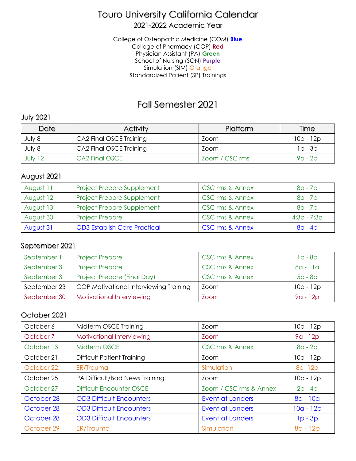# Touro University California Calendar

### 2021-2022 Academic Year

College of Osteopathic Medicine (COM) **Blue** College of Pharmacy (COP) **Red** Physician Assistant (PA) **Green** School of Nursing (SON) **Purple** Simulation (SIM) Orange Standardized Patient (SP) Trainings

# Fall Semester 2021

#### July 2021

| Date    | <b>Activity</b>         | <b>Platform</b> | Time      |
|---------|-------------------------|-----------------|-----------|
| July 8  | CA2 Final OSCE Training | Zoom            | 10a - 12p |
| July 8  | CA2 Final OSCE Training | Zoom            | $1p - 3p$ |
| July 12 | CA2 Final OSCE          | Zoom / CSC rms  | $9a - 2p$ |

#### August 2021

| August 11 | Project Prepare Supplement          | CSC rms & Annex            | $8a - 7p$     |
|-----------|-------------------------------------|----------------------------|---------------|
| August 12 | <b>Project Prepare Supplement</b>   | CSC rms & Annex            | $8a - 7p$     |
| August 13 | Project Prepare Supplement          | CSC rms & Annex            | $8a - 7p$     |
| August 30 | <b>Project Prepare</b>              | CSC rms & Annex            | $4:3p - 7:3p$ |
| August 31 | <b>OD3 Establish Care Practical</b> | <b>CSC rms &amp; Annex</b> | $8a - 4p$     |

### September 2021

| September 1  | <b>Project Prepare</b>                 | CSC rms & Annex | $1p - 8p$  |
|--------------|----------------------------------------|-----------------|------------|
| September 3  | <b>Project Prepare</b>                 | CSC rms & Annex | $8a - 11a$ |
| September 3  | Project Prepare (Final Day)            | CSC rms & Annex | $5p - 8p$  |
| September 23 | COP Motivational Interviewing Training | Zoom            | 10a - 12p  |
| September 30 | Motivational Interviewing              | Zoom            | $9a - 12p$ |

### October 2021

| October 6  | Midterm OSCE Training           | Zoom                    | $10a - 12p$ |
|------------|---------------------------------|-------------------------|-------------|
| October 7  | Motivational Interviewing       | Zoom                    | $9a - 12p$  |
| October 13 | Midterm OSCE                    | CSC rms & Annex         | $8a - 2p$   |
| October 21 | Difficult Patient Training      | Zoom                    | 10a - 12p   |
| October 22 | <b>ER/Trauma</b>                | Simulation              | $8a - 12p$  |
| October 25 | PA Difficult/Bad News Training  | Zoom                    | $10a - 12p$ |
| October 27 | <b>Difficult Encounter OSCE</b> | Zoom / CSC rms & Annex  | $2p - 4p$   |
| October 28 | <b>OD3 Difficult Encounters</b> | <b>Event at Landers</b> | $8a - 10a$  |
| October 28 | <b>OD3 Difficult Encounters</b> | <b>Event at Landers</b> | $10a - 12p$ |
| October 28 | <b>OD3 Difficult Encounters</b> | <b>Event at Landers</b> | $1p - 3p$   |
| October 29 | ER/Trauma                       | Simulation              | $8a - 12p$  |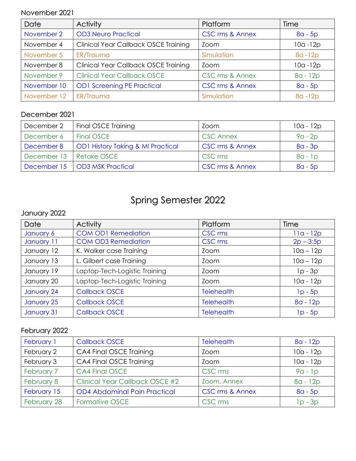#### November 2021

| Date        | <b>Activity</b>                             | Platform                   | Time        |
|-------------|---------------------------------------------|----------------------------|-------------|
| November 2  | <b>OD3 Neuro Practical</b>                  | <b>CSC rms &amp; Annex</b> | $8a - 5p$   |
| November 4  | <b>Clinical Year Callback OSCE Training</b> | Zoom                       | $10a - 12p$ |
| November 5  | ER/Trauma                                   | Simulation                 | $8a - 12p$  |
| November 8  | <b>Clinical Year Callback OSCE Training</b> | Zoom                       | $10a - 12p$ |
| November 9  | <b>Clinical Year Callback OSCE</b>          | CSC rms & Annex            | 8a - 12p    |
| November 10 | <b>OD1 Screening PE Practical</b>           | <b>CSC rms &amp; Annex</b> | $8a - 5p$   |
| November 12 | ER/Trauma                                   | Simulation                 | $8a - 12p$  |

### December 2021

| December 2                | Final OSCE Training                          | Zoom                       | 10a - 12p |
|---------------------------|----------------------------------------------|----------------------------|-----------|
| December 6                | Final OSCE                                   | <b>CSC Annex</b>           | $9a - 2p$ |
| December 8                | <b>OD1 History Taking &amp; MI Practical</b> | <b>CSC rms &amp; Annex</b> | $8a - 3p$ |
| December 13   Retake OSCE |                                              | CSC rms                    | $8a - 1p$ |
|                           | December 15   OD3 MSK Practical              | <b>CSC rms &amp; Annex</b> | $8a - 5p$ |

# Spring Semester 2022

## January 2022

| Date       | <b>Activity</b>               | Platform          | Time        |
|------------|-------------------------------|-------------------|-------------|
| January 6  | <b>COM OD1 Remediation</b>    | CSC rms           | $11a - 12p$ |
| January 11 | <b>COM OD3 Remediation</b>    | CSC rms           | $2p - 3:5p$ |
| January 12 | K. Walker case Training       | Zoom              | $10a - 12p$ |
| January 13 | L. Gilbert case Training      | Zoom              | $10a - 12p$ |
| January 19 | Laptop-Tech-Logistic Training | Zoom              | $lp - 3p$   |
| January 20 | Laptop-Tech-Logistic Training | Zoom              | $10a - 12p$ |
| January 24 | <b>Callback OSCE</b>          | <b>Telehealth</b> | $1p - 5p$   |
| January 25 | <b>Callback OSCE</b>          | <b>Telehealth</b> | $8a - 12p$  |
| January 31 | <b>Callback OSCE</b>          | <b>Telehealth</b> | $1p - 5p$   |

### February 2022

| February 1  | <b>Callback OSCE</b>                  | <b>Telehealth</b>          | $8a - 12p$  |
|-------------|---------------------------------------|----------------------------|-------------|
| February 2  | CA4 Final OSCE Training               | Zoom                       | $10a - 12p$ |
| February 3  | CA4 Final OSCE Training               | Zoom                       | $10a - 12p$ |
| February 7  | <b>CA4 Final OSCE</b>                 | CSC rms                    | $9a - 1p$   |
| February 8  | <b>Clinical Year Callback OSCE #2</b> | Zoom, Annex                | $8a - 12p$  |
| February 15 | <b>OD4 Abdominal Pain Practical</b>   | <b>CSC rms &amp; Annex</b> | $8a - 5p$   |
| February 28 | Formative OSCE                        | CSC rms                    | $1p - 3p$   |